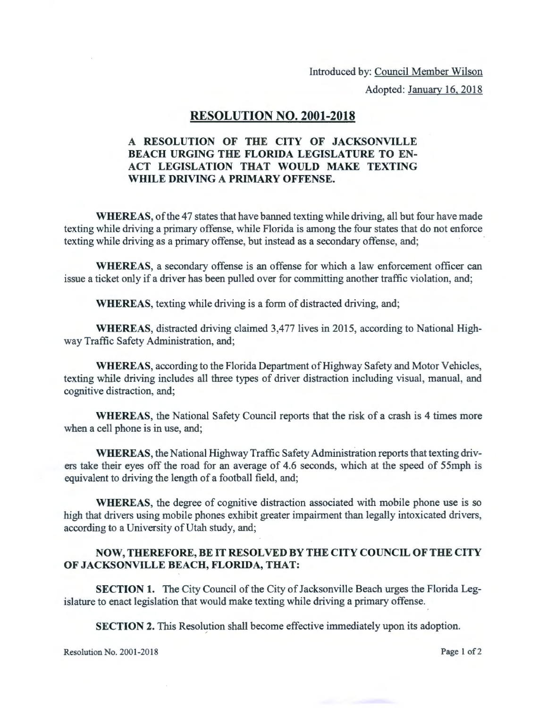Introduced by: Council Member Wilson

Adopted: January 16,2018

## **RESOLUTION NO. 2001-2018**

## **A RESOLUTION OF THE CITY OF JACKSONVILLE BEACH URGING THE FLORIDA LEGISLATURE TO** EN-**ACT LEGISLATION THAT WOULD MAKE TEXTING WHILE DRIVING A PRIMARY OFFENSE.**

**WHEREAS,** of the 47 states that have banned texting while driving, all but four have made texting while driving a primary offense, while Florida is among the four states that do not enforce texting while driving as a primary offense, but instead as a secondary offense, and;

**WHEREAS,** a secondary offense is an offense for which a law enforcement officer can issue a ticket only if a driver has been pulled over for committing another traffic violation, and;

**WHEREAS,** texting while driving is a form of distracted driving, and;

**WHEREAS,** distracted driving claimed 3,477 lives in 2015, according to National Highway Traffic Safety Administration, and;

**WHEREAS,** according to the Florida Department of Highway Safety and Motor Vehicles, texting while driving includes all three types of driver distraction including visual, manual, and cognitive distraction, and;

**WHEREAS,** the National Safety Council reports that the risk of a crash is 4 times more when a cell phone is in use, and;

**WHEREAS,** the National Highway Traffic Safety Administration reports that texting drivers take their eyes off the road for an average of 4.6 seconds, which at the speed of 55mph is equivalent to driving the length of a football field, and;

**WHEREAS,** the degree of cognitive distraction associated with mobile phone use is so high that drivers using mobile phones exhibit greater impairment than legally intoxicated drivers, according to a University of Utah study, and;

## **NOW, THEREFORE, BE IT RESOLVED BY THE CITY COUNCIL OF THE CITY OF JACKSONVILLE BEACH, FLORIDA, THAT:**

**SECTION 1.** The City Council of the City of Jacksonville Beach urges the Florida Legislature to enact legislation that would make texting while driving a primary offense.

**SECTION 2.** This Resolution shall become effective immediately upon its adoption.